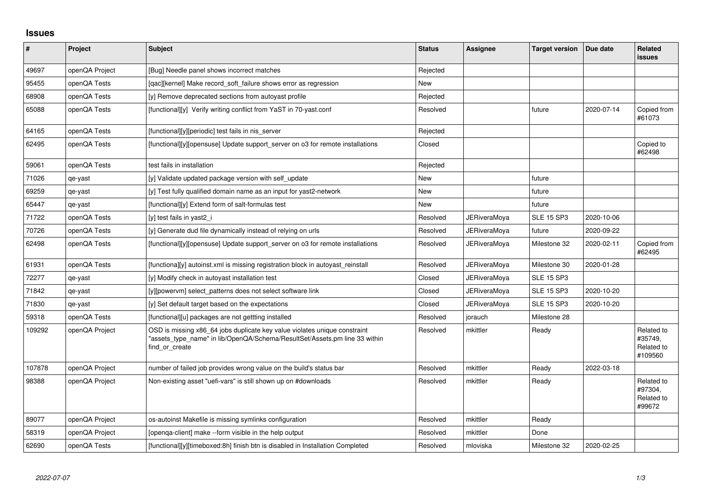## **Issues**

| $\sharp$ | Project        | <b>Subject</b>                                                                                                                                                            | <b>Status</b> | <b>Assignee</b>     | <b>Target version</b> | Due date   | Related<br><b>issues</b>                       |
|----------|----------------|---------------------------------------------------------------------------------------------------------------------------------------------------------------------------|---------------|---------------------|-----------------------|------------|------------------------------------------------|
| 49697    | openQA Project | [Bug] Needle panel shows incorrect matches                                                                                                                                | Rejected      |                     |                       |            |                                                |
| 95455    | openQA Tests   | [qac][kernel] Make record_soft_failure shows error as regression                                                                                                          | <b>New</b>    |                     |                       |            |                                                |
| 68908    | openQA Tests   | [y] Remove deprecated sections from autoyast profile                                                                                                                      | Rejected      |                     |                       |            |                                                |
| 65088    | openQA Tests   | [functional][y] Verify writing conflict from YaST in 70-yast.conf                                                                                                         | Resolved      |                     | future                | 2020-07-14 | Copied from<br>#61073                          |
| 64165    | openQA Tests   | [functional][y][periodic] test fails in nis_server                                                                                                                        | Rejected      |                     |                       |            |                                                |
| 62495    | openQA Tests   | [functional][y][opensuse] Update support_server on o3 for remote installations                                                                                            | Closed        |                     |                       |            | Copied to<br>#62498                            |
| 59061    | openQA Tests   | test fails in installation                                                                                                                                                | Rejected      |                     |                       |            |                                                |
| 71026    | qe-yast        | [y] Validate updated package version with self_update                                                                                                                     | <b>New</b>    |                     | future                |            |                                                |
| 69259    | qe-yast        | [y] Test fully qualified domain name as an input for yast2-network                                                                                                        | New           |                     | future                |            |                                                |
| 65447    | qe-yast        | [functional][y] Extend form of salt-formulas test                                                                                                                         | <b>New</b>    |                     | future                |            |                                                |
| 71722    | openQA Tests   | [y] test fails in yast2 i                                                                                                                                                 | Resolved      | <b>JERiveraMoya</b> | <b>SLE 15 SP3</b>     | 2020-10-06 |                                                |
| 70726    | openQA Tests   | [y] Generate dud file dynamically instead of relying on urls                                                                                                              | Resolved      | JERiveraMoya        | future                | 2020-09-22 |                                                |
| 62498    | openQA Tests   | [functional][y][opensuse] Update support_server on o3 for remote installations                                                                                            | Resolved      | JERiveraMoya        | Milestone 32          | 2020-02-11 | Copied from<br>#62495                          |
| 61931    | openQA Tests   | [functiona][y] autoinst.xml is missing registration block in autoyast_reinstall                                                                                           | Resolved      | JERiveraMoya        | Milestone 30          | 2020-01-28 |                                                |
| 72277    | qe-yast        | [y] Modify check in autoyast installation test                                                                                                                            | Closed        | <b>JERiveraMoya</b> | <b>SLE 15 SP3</b>     |            |                                                |
| 71842    | qe-yast        | [y][powervm] select_patterns does not select software link                                                                                                                | Closed        | <b>JERiveraMoya</b> | <b>SLE 15 SP3</b>     | 2020-10-20 |                                                |
| 71830    | qe-yast        | [y] Set default target based on the expectations                                                                                                                          | Closed        | <b>JERiveraMoya</b> | <b>SLE 15 SP3</b>     | 2020-10-20 |                                                |
| 59318    | openQA Tests   | [functional][u] packages are not gettting installed                                                                                                                       | Resolved      | jorauch             | Milestone 28          |            |                                                |
| 109292   | openQA Project | OSD is missing x86_64 jobs duplicate key value violates unique constraint<br>"assets_type_name" in lib/OpenQA/Schema/ResultSet/Assets.pm line 33 within<br>find or create | Resolved      | mkittler            | Ready                 |            | Related to<br>#35749,<br>Related to<br>#109560 |
| 107878   | openQA Project | number of failed job provides wrong value on the build's status bar                                                                                                       | Resolved      | mkittler            | Ready                 | 2022-03-18 |                                                |
| 98388    | openQA Project | Non-existing asset "uefi-vars" is still shown up on #downloads                                                                                                            | Resolved      | mkittler            | Ready                 |            | Related to<br>#97304,<br>Related to<br>#99672  |
| 89077    | openQA Project | os-autoinst Makefile is missing symlinks configuration                                                                                                                    | Resolved      | mkittler            | Ready                 |            |                                                |
| 58319    | openQA Project | [openga-client] make --form visible in the help output                                                                                                                    | Resolved      | mkittler            | Done                  |            |                                                |
| 62690    | openQA Tests   | [functional][y][timeboxed:8h] finish btn is disabled in Installation Completed                                                                                            | Resolved      | mloviska            | Milestone 32          | 2020-02-25 |                                                |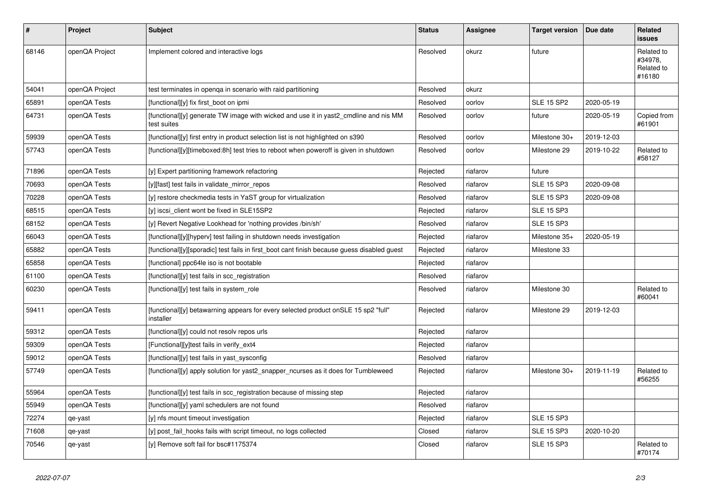| ∦     | <b>Project</b> | <b>Subject</b>                                                                                      | <b>Status</b> | Assignee | <b>Target version</b> | Due date   | Related<br><b>issues</b>                      |
|-------|----------------|-----------------------------------------------------------------------------------------------------|---------------|----------|-----------------------|------------|-----------------------------------------------|
| 68146 | openQA Project | Implement colored and interactive logs                                                              | Resolved      | okurz    | future                |            | Related to<br>#34978,<br>Related to<br>#16180 |
| 54041 | openQA Project | test terminates in openqa in scenario with raid partitioning                                        | Resolved      | okurz    |                       |            |                                               |
| 65891 | openQA Tests   | [functional][y] fix first_boot on ipmi                                                              | Resolved      | oorlov   | <b>SLE 15 SP2</b>     | 2020-05-19 |                                               |
| 64731 | openQA Tests   | [functional][y] generate TW image with wicked and use it in yast2_cmdline and nis MM<br>test suites | Resolved      | oorlov   | future                | 2020-05-19 | Copied from<br>#61901                         |
| 59939 | openQA Tests   | [functional][y] first entry in product selection list is not highlighted on s390                    | Resolved      | oorlov   | Milestone 30+         | 2019-12-03 |                                               |
| 57743 | openQA Tests   | [functional][y][timeboxed:8h] test tries to reboot when poweroff is given in shutdown               | Resolved      | oorlov   | Milestone 29          | 2019-10-22 | Related to<br>#58127                          |
| 71896 | openQA Tests   | [y] Expert partitioning framework refactoring                                                       | Rejected      | riafarov | future                |            |                                               |
| 70693 | openQA Tests   | [y][fast] test fails in validate mirror repos                                                       | Resolved      | riafarov | <b>SLE 15 SP3</b>     | 2020-09-08 |                                               |
| 70228 | openQA Tests   | [y] restore checkmedia tests in YaST group for virtualization                                       | Resolved      | riafarov | <b>SLE 15 SP3</b>     | 2020-09-08 |                                               |
| 68515 | openQA Tests   | [y] iscsi_client wont be fixed in SLE15SP2                                                          | Rejected      | riafarov | <b>SLE 15 SP3</b>     |            |                                               |
| 68152 | openQA Tests   | [y] Revert Negative Lookhead for 'nothing provides /bin/sh'                                         | Resolved      | riafarov | <b>SLE 15 SP3</b>     |            |                                               |
| 66043 | openQA Tests   | [functional][y][hyperv] test failing in shutdown needs investigation                                | Rejected      | riafarov | Milestone 35+         | 2020-05-19 |                                               |
| 65882 | openQA Tests   | [functional][y][sporadic] test fails in first_boot cant finish because guess disabled guest         | Rejected      | riafarov | Milestone 33          |            |                                               |
| 65858 | openQA Tests   | [functional] ppc64le iso is not bootable                                                            | Rejected      | riafarov |                       |            |                                               |
| 61100 | openQA Tests   | [functional][y] test fails in scc registration                                                      | Resolved      | riafarov |                       |            |                                               |
| 60230 | openQA Tests   | [functional][y] test fails in system role                                                           | Resolved      | riafarov | Milestone 30          |            | Related to<br>#60041                          |
| 59411 | openQA Tests   | [functional][y] betawarning appears for every selected product onSLE 15 sp2 "full"<br>installer     | Rejected      | riafarov | Milestone 29          | 2019-12-03 |                                               |
| 59312 | openQA Tests   | [functional][y] could not resoly repos urls                                                         | Rejected      | riafarov |                       |            |                                               |
| 59309 | openQA Tests   | [Functional][y]test fails in verify_ext4                                                            | Rejected      | riafarov |                       |            |                                               |
| 59012 | openQA Tests   | [functional][y] test fails in yast_sysconfig                                                        | Resolved      | riafarov |                       |            |                                               |
| 57749 | openQA Tests   | [functional][y] apply solution for yast2_snapper_ncurses as it does for Tumbleweed                  | Rejected      | riafarov | Milestone 30+         | 2019-11-19 | Related to<br>#56255                          |
| 55964 | openQA Tests   | [functional][y] test fails in scc_registration because of missing step                              | Rejected      | riafarov |                       |            |                                               |
| 55949 | openQA Tests   | [functional][y] yaml schedulers are not found                                                       | Resolved      | riafarov |                       |            |                                               |
| 72274 | qe-yast        | [y] nfs mount timeout investigation                                                                 | Rejected      | riafarov | <b>SLE 15 SP3</b>     |            |                                               |
| 71608 | qe-yast        | [y] post fail hooks fails with script timeout, no logs collected                                    | Closed        | riafarov | <b>SLE 15 SP3</b>     | 2020-10-20 |                                               |
| 70546 | qe-yast        | [y] Remove soft fail for bsc#1175374                                                                | Closed        | riafarov | <b>SLE 15 SP3</b>     |            | Related to<br>#70174                          |